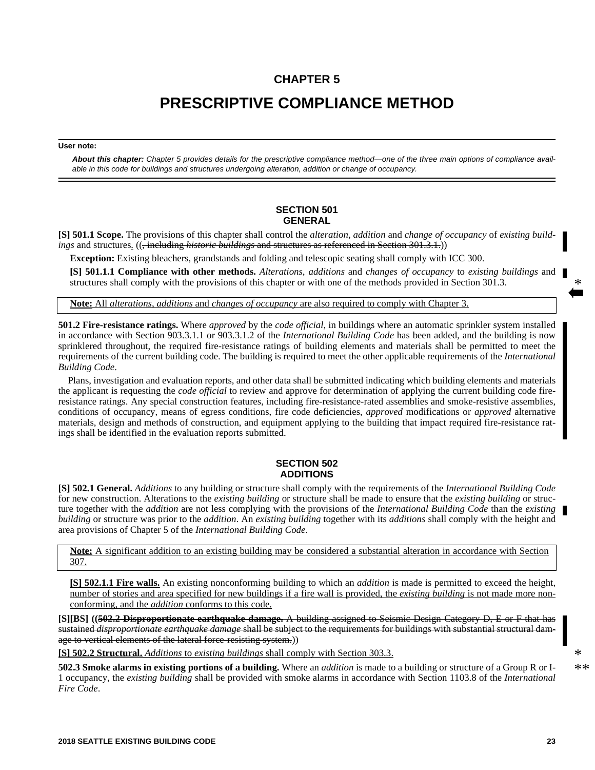## **CHAPTER 5**

# **PRESCRIPTIVE COMPLIANCE METHOD**

#### **User note:**

*About this chapter: Chapter 5 provides details for the prescriptive compliance method—one of the three main options of compliance available in this code for buildings and structures undergoing alteration, addition or change of occupancy.*

## **SECTION 501 GENERAL**

**[S] 501.1 Scope.** The provisions of this chapter shall control the *alteration, addition* and *change of occupancy* of *existing buildings* and structures. ((<del>, including *historic buildings* and structures as referenced in Section 301.3.1.</del>))

**Exception:** Existing bleachers, grandstands and folding and telescopic seating shall comply with ICC 300.

**[S] 501.1.1 Compliance with other methods.** *Alterations*, *additions* and *changes of occupancy* to *existing buildings* and structures shall comply with the provisions of this chapter or with one of the methods provided in Section 301.3.

**Note:** All *alterations*, *additions* and *changes of occupancy* are also required to comply with Chapter 3.

**501.2 Fire-resistance ratings.** Where *approved* by the *code official*, in buildings where an automatic sprinkler system installed in accordance with Section 903.3.1.1 or 903.3.1.2 of the *International Building Code* has been added, and the building is now sprinklered throughout, the required fire-resistance ratings of building elements and materials shall be permitted to meet the requirements of the current building code. The building is required to meet the other applicable requirements of the *International Building Code*.

Plans, investigation and evaluation reports, and other data shall be submitted indicating which building elements and materials the applicant is requesting the *code official* to review and approve for determination of applying the current building code fireresistance ratings. Any special construction features, including fire-resistance-rated assemblies and smoke-resistive assemblies, conditions of occupancy, means of egress conditions, fire code deficiencies, *approved* modifications or *approved* alternative materials, design and methods of construction, and equipment applying to the building that impact required fire-resistance ratings shall be identified in the evaluation reports submitted.

## **SECTION 502 ADDITIONS**

**[S] 502.1 General.** *Additions* to any building or structure shall comply with the requirements of the *International Building Code* for new construction. Alterations to the *existing building* or structure shall be made to ensure that the *existing building* or structure together with the *addition* are not less complying with the provisions of the *International Building Code* than the *existing building* or structure was prior to the *addition*. An *existing building* together with its *additions* shall comply with the height and area provisions of Chapter 5 of the *International Building Code*.

**Note:** A significant addition to an existing building may be considered a substantial alteration in accordance with Section 307.

**[S] 502.1.1 Fire walls.** An existing nonconforming building to which an *addition* is made is permitted to exceed the height, number of stories and area specified for new buildings if a fire wall is provided, the *existing building* is not made more nonconforming, and the *addition* conforms to this code.

**[S][BS] ((502.2 Disproportionate earthquake damage.** A building assigned to Seismic Design Category D, E or F that has sustained *disproportionate earthquake damage* shall be subject to the requirements for buildings with substantial structural damage to vertical elements of the lateral force-resisting system.))

**[S] 502.2 Structural.** *Additions* to *existing buildings* shall comply with Section 303.3.

**502.3 Smoke alarms in existing portions of a building.** Where an *addition* is made to a building or structure of a Group R or I-1 occupancy, the *existing building* shall be provided with smoke alarms in accordance with Section 1103.8 of the *International Fire Code*.

\* \*\*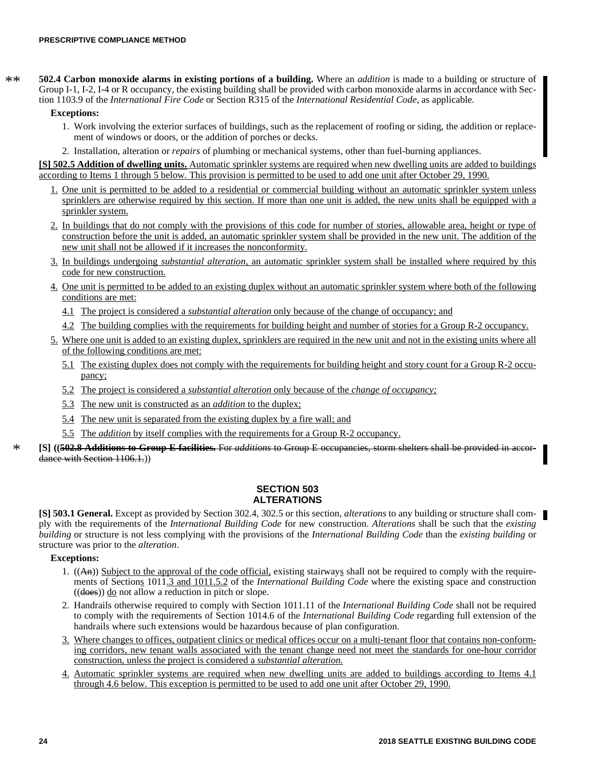**502.4 Carbon monoxide alarms in existing portions of a building.** Where an *addition* is made to a building or structure of Group I-1, I-2, I-4 or R occupancy, the existing building shall be provided with carbon monoxide alarms in accordance with Section 1103.9 of the *International Fire Code* or Section R315 of the *International Residential Code*, as applicable. \*\*

## **Exceptions:**

- 1. Work involving the exterior surfaces of buildings, such as the replacement of roofing or siding, the addition or replacement of windows or doors, or the addition of porches or decks.
- 2. Installation, alteration or *repairs* of plumbing or mechanical systems, other than fuel-burning appliances.

**[S] 502.5 Addition of dwelling units.** Automatic sprinkler systems are required when new dwelling units are added to buildings according to Items 1 through 5 below. This provision is permitted to be used to add one unit after October 29, 1990.

- 1. One unit is permitted to be added to a residential or commercial building without an automatic sprinkler system unless sprinklers are otherwise required by this section. If more than one unit is added, the new units shall be equipped with a sprinkler system.
- 2. In buildings that do not comply with the provisions of this code for number of stories, allowable area, height or type of construction before the unit is added, an automatic sprinkler system shall be provided in the new unit. The addition of the new unit shall not be allowed if it increases the nonconformity.
- 3. In buildings undergoing *substantial alteration,* an automatic sprinkler system shall be installed where required by this code for new construction.
- 4. One unit is permitted to be added to an existing duplex without an automatic sprinkler system where both of the following conditions are met:
	- 4.1 The project is considered a *substantial alteration* only because of the change of occupancy; and
	- 4.2 The building complies with the requirements for building height and number of stories for a Group R-2 occupancy.
- 5. Where one unit is added to an existing duplex, sprinklers are required in the new unit and not in the existing units where all of the following conditions are met:
	- 5.1 The existing duplex does not comply with the requirements for building height and story count for a Group R-2 occupancy;
	- 5.2 The project is considered a *substantial alteration* only because of the *change of occupancy;*
	- 5.3 The new unit is constructed as an *addition* to the duplex;
	- 5.4 The new unit is separated from the existing duplex by a fire wall; and
	- 5.5 The *addition* by itself complies with the requirements for a Group R-2 occupancy.
- **[S] ((502.8 Additions to Group E facilities.** For *additions* to Group E occupancies, storm shelters shall be provided in accordance with Section 1106.1.)

## **SECTION 503 ALTERATIONS**

**[S] 503.1 General.** Except as provided by Section 302.4, 302.5 or this section, *alterations* to any building or structure shall comply with the requirements of the *International Building Code* for new construction. *Alterations* shall be such that the *existing building* or structure is not less complying with the provisions of the *International Building Code* than the *existing building* or structure was prior to the *alteration*.

## **Exceptions:**

- 1. ((An)) Subject to the approval of the code official, existing stairways shall not be required to comply with the requirements of Sections 1011.3 and 1011.5.2 of the *International Building Code* where the existing space and construction  $((\text{does}))$  do not allow a reduction in pitch or slope.
- 2. Handrails otherwise required to comply with Section 1011.11 of the *International Building Code* shall not be required to comply with the requirements of Section 1014.6 of the *International Building Code* regarding full extension of the handrails where such extensions would be hazardous because of plan configuration.
- 3. Where changes to offices, outpatient clinics or medical offices occur on a multi-tenant floor that contains non-conforming corridors, new tenant walls associated with the tenant change need not meet the standards for one-hour corridor construction, unless the project is considered a *substantial alteration.*
- 4. Automatic sprinkler systems are required when new dwelling units are added to buildings according to Items 4.1 through 4.6 below. This exception is permitted to be used to add one unit after October 29, 1990.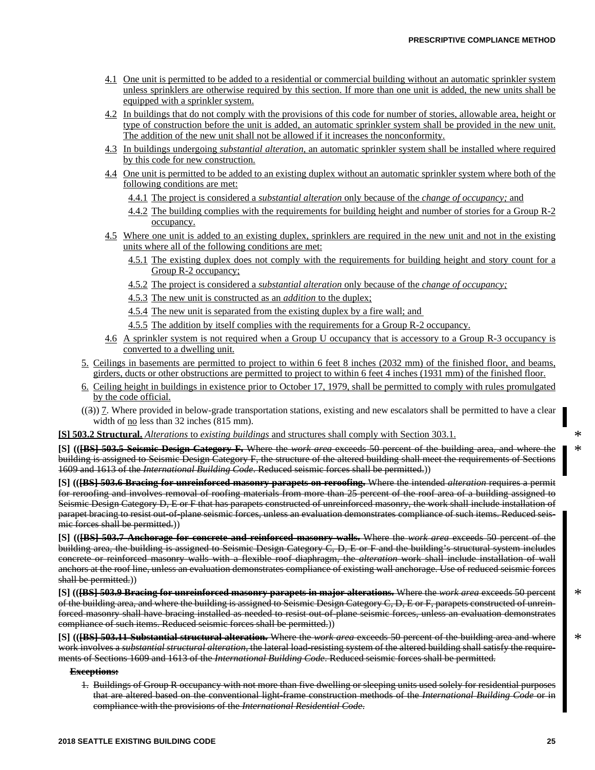- 4.1 One unit is permitted to be added to a residential or commercial building without an automatic sprinkler system unless sprinklers are otherwise required by this section. If more than one unit is added, the new units shall be equipped with a sprinkler system.
- 4.2 In buildings that do not comply with the provisions of this code for number of stories, allowable area, height or type of construction before the unit is added, an automatic sprinkler system shall be provided in the new unit. The addition of the new unit shall not be allowed if it increases the nonconformity.
- 4.3 In buildings undergoing *substantial alteration,* an automatic sprinkler system shall be installed where required by this code for new construction.
- 4.4 One unit is permitted to be added to an existing duplex without an automatic sprinkler system where both of the following conditions are met:
	- 4.4.1 The project is considered a *substantial alteration* only because of the *change of occupancy;* and
	- 4.4.2 The building complies with the requirements for building height and number of stories for a Group R-2 occupancy.
- 4.5 Where one unit is added to an existing duplex, sprinklers are required in the new unit and not in the existing units where all of the following conditions are met:
	- 4.5.1 The existing duplex does not comply with the requirements for building height and story count for a Group R-2 occupancy;
	- 4.5.2 The project is considered a *substantial alteration* only because of the *change of occupancy;*
	- 4.5.3 The new unit is constructed as an *addition* to the duplex;
	- 4.5.4 The new unit is separated from the existing duplex by a fire wall; and
	- 4.5.5 The addition by itself complies with the requirements for a Group R-2 occupancy.
- 4.6 A sprinkler system is not required when a Group U occupancy that is accessory to a Group R-3 occupancy is converted to a dwelling unit.
- 5. Ceilings in basements are permitted to project to within 6 feet 8 inches (2032 mm) of the finished floor, and beams, girders, ducts or other obstructions are permitted to project to within 6 feet 4 inches (1931 mm) of the finished floor.
- 6. Ceiling height in buildings in existence prior to October 17, 1979, shall be permitted to comply with rules promulgated by the code official.
- ((3)) 7. Where provided in below-grade transportation stations, existing and new escalators shall be permitted to have a clear width of <u>no</u> less than 32 inches (815 mm).

**[S] 503.2 Structural.** *Alterations* to *existing buildings* and structures shall comply with Section 303.1.

**[S] (([BS] 503.5 Seismic Design Category F.** Where the *work area* exceeds 50 percent of the building area, and where the building is assigned to Seismic Design Category F, the structure of the altered building shall meet the requirements of Sections 1609 and 1613 of the *International Building Code*. Reduced seismic forces shall be permitted.))

**[S] (([BS] 503.6 Bracing for unreinforced masonry parapets on reroofing.** Where the intended *alteration* requires a permit for reroofing and involves removal of roofing materials from more than 25 percent of the roof area of a building assigned to Seismic Design Category D, E or F that has parapets constructed of unreinforced masonry, the work shall include installation of parapet bracing to resist out-of-plane seismic forces, unless an evaluation demonstrates compliance of such items. Reduced seismic forces shall be permitted.))

**[S] (([BS] 503.7 Anchorage for concrete and reinforced masonry walls.** Where the *work area* exceeds 50 percent of the building area, the building is assigned to Seismic Design Category C, D, E or F and the building's structural system includes concrete or reinforced masonry walls with a flexible roof diaphragm, the *alteration* work shall include installation of wall anchors at the roof line, unless an evaluation demonstrates compliance of existing wall anchorage. Use of reduced seismic forces shall be permitted.)

**[S] (([BS] 503.9 Bracing for unreinforced masonry parapets in major alterations.** Where the *work area* exceeds 50 percent of the building area, and where the building is assigned to Seismic Design Category C, D, E or F, parapets constructed of unreinforced masonry shall have bracing installed as needed to resist out-of-plane seismic forces, unless an evaluation demonstrates compliance of such items. Reduced seismic forces shall be permitted.))

**[S] (([BS] 503.11 Substantial structural alteration.** Where the *work area* exceeds 50 percent of the building area and where work involves a *substantial structural alteration*, the lateral load-resisting system of the altered building shall satisfy the requirements of Sections 1609 and 1613 of the *International Building Code*. Reduced seismic forces shall be permitted.

**Exceptions:**

1. Buildings of Group R occupancy with not more than five dwelling or sleeping units used solely for residential purposes that are altered based on the conventional light-frame construction methods of the *International Building Code* or in compliance with the provisions of the *International Residential Code*.

\* \*

\*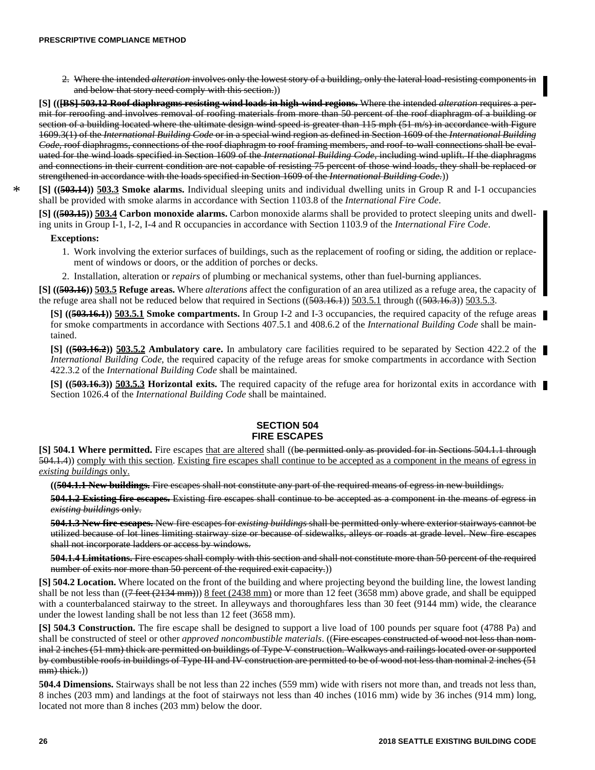2. Where the intended *alteration* involves only the lowest story of a building, only the lateral load-resisting components in and below that story need comply with this section.))

**[S] (([BS] 503.12 Roof diaphragms resisting wind loads in high-wind regions.** Where the intended *alteration* requires a permit for reroofing and involves removal of roofing materials from more than 50 percent of the roof diaphragm of a building or section of a building located where the ultimate design wind speed is greater than 115 mph (51 m/s) in accordance with Figure 1609.3(1) of the *International Building Code* or in a special wind region as defined in Section 1609 of the *International Building Code*, roof diaphragms, connections of the roof diaphragm to roof framing members, and roof-to-wall connections shall be evaluated for the wind loads specified in Section 1609 of the *International Building Code*, including wind uplift. If the diaphragms and connections in their current condition are not capable of resisting 75 percent of those wind loads, they shall be replaced or strengthened in accordance with the loads specified in Section 1609 of the *International Building Code.*))

**[S] ((503.14)) 503.3 Smoke alarms.** Individual sleeping units and individual dwelling units in Group R and I-1 occupancies shall be provided with smoke alarms in accordance with Section 1103.8 of the *International Fire Code*.

**[S] ((503.15)) 503.4 Carbon monoxide alarms.** Carbon monoxide alarms shall be provided to protect sleeping units and dwelling units in Group I-1, I-2, I-4 and R occupancies in accordance with Section 1103.9 of the *International Fire Code*.

### **Exceptions:**

\*

- 1. Work involving the exterior surfaces of buildings, such as the replacement of roofing or siding, the addition or replacement of windows or doors, or the addition of porches or decks.
- 2. Installation, alteration or *repairs* of plumbing or mechanical systems, other than fuel-burning appliances.

**[S] ((503.16)) 503.5 Refuge areas.** Where *alterations* affect the configuration of an area utilized as a refuge area, the capacity of the refuge area shall not be reduced below that required in Sections  $((503.16.1))$   $503.5.1$  through  $((503.16.3))$   $503.5.3$ .

**[S] ((503.16.1)) 503.5.1 Smoke compartments.** In Group I-2 and I-3 occupancies, the required capacity of the refuge areas for smoke compartments in accordance with Sections 407.5.1 and 408.6.2 of the *International Building Code* shall be maintained.

**[S] ((503.16.2)) 503.5.2 Ambulatory care.** In ambulatory care facilities required to be separated by Section 422.2 of the *International Building Code*, the required capacity of the refuge areas for smoke compartments in accordance with Section 422.3.2 of the *International Building Code* shall be maintained.

**[S] ((503.16.3)) 503.5.3 Horizontal exits.** The required capacity of the refuge area for horizontal exits in accordance with Section 1026.4 of the *International Building Code* shall be maintained.

## **SECTION 504 FIRE ESCAPES**

**[S] 504.1 Where permitted.** Fire escapes that are altered shall ((be permitted only as provided for in Sections 504.1.1 through 504.1.4)) comply with this section. Existing fire escapes shall continue to be accepted as a component in the means of egress in *existing buildings* only.

**((504.1.1 New buildings.** Fire escapes shall not constitute any part of the required means of egress in new buildings.

**504.1.2 Existing fire escapes.** Existing fire escapes shall continue to be accepted as a component in the means of egress in *existing buildings* only.

**504.1.3 New fire escapes.** New fire escapes for *existing buildings* shall be permitted only where exterior stairways cannot be utilized because of lot lines limiting stairway size or because of sidewalks, alleys or roads at grade level. New fire escapes shall not incorporate ladders or access by windows.

**504.1.4 Limitations.** Fire escapes shall comply with this section and shall not constitute more than 50 percent of the required number of exits nor more than 50 percent of the required exit capacity.)

**[S] 504.2 Location.** Where located on the front of the building and where projecting beyond the building line, the lowest landing shall be not less than  $((7 \text{ feet } (2134 \text{ mm})))$  8 feet  $(2438 \text{ mm})$  or more than 12 feet  $(3658 \text{ mm})$  above grade, and shall be equipped with a counterbalanced stairway to the street. In alleyways and thoroughfares less than 30 feet (9144 mm) wide, the clearance under the lowest landing shall be not less than 12 feet (3658 mm).

**[S] 504.3 Construction.** The fire escape shall be designed to support a live load of 100 pounds per square foot (4788 Pa) and shall be constructed of steel or other *approved noncombustible materials*. ((Fire escapes constructed of wood not less than nominal 2 inches (51 mm) thick are permitted on buildings of Type V construction. Walkways and railings located over or supported by combustible roofs in buildings of Type III and IV construction are permitted to be of wood not less than nominal 2 inches (51 mm) thick.)

**504.4 Dimensions.** Stairways shall be not less than 22 inches (559 mm) wide with risers not more than, and treads not less than, 8 inches (203 mm) and landings at the foot of stairways not less than 40 inches (1016 mm) wide by 36 inches (914 mm) long, located not more than 8 inches (203 mm) below the door.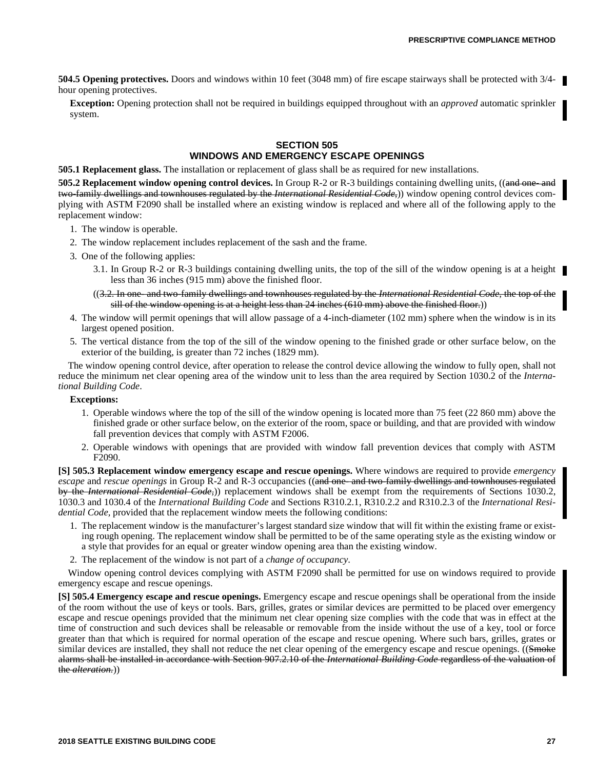**504.5 Opening protectives.** Doors and windows within 10 feet (3048 mm) of fire escape stairways shall be protected with  $3/4$ hour opening protectives.

**Exception:** Opening protection shall not be required in buildings equipped throughout with an *approved* automatic sprinkler system.

## **SECTION 505 WINDOWS AND EMERGENCY ESCAPE OPENINGS**

**505.1 Replacement glass.** The installation or replacement of glass shall be as required for new installations.

**505.2 Replacement window opening control devices.** In Group R-2 or R-3 buildings containing dwelling units, ((and one- and two-family dwellings and townhouses regulated by the *International Residential Code*,)) window opening control devices complying with ASTM F2090 shall be installed where an existing window is replaced and where all of the following apply to the replacement window:

- 1. The window is operable.
- 2. The window replacement includes replacement of the sash and the frame.
- 3. One of the following applies:
	- 3.1. In Group R-2 or R-3 buildings containing dwelling units, the top of the sill of the window opening is at a height less than 36 inches (915 mm) above the finished floor.
	- ((3.2. In one- and two-family dwellings and townhouses regulated by the *International Residential Code*, the top of the sill of the window opening is at a height less than 24 inches (610 mm) above the finished floor.))
- 4. The window will permit openings that will allow passage of a 4-inch-diameter (102 mm) sphere when the window is in its largest opened position.
- 5. The vertical distance from the top of the sill of the window opening to the finished grade or other surface below, on the exterior of the building, is greater than 72 inches (1829 mm).

The window opening control device, after operation to release the control device allowing the window to fully open, shall not reduce the minimum net clear opening area of the window unit to less than the area required by Section 1030.2 of the *International Building Code*.

## **Exceptions:**

- 1. Operable windows where the top of the sill of the window opening is located more than 75 feet (22 860 mm) above the finished grade or other surface below, on the exterior of the room, space or building, and that are provided with window fall prevention devices that comply with ASTM F2006.
- 2. Operable windows with openings that are provided with window fall prevention devices that comply with ASTM F2090.

**[S] 505.3 Replacement window emergency escape and rescue openings.** Where windows are required to provide *emergency escape* and *rescue openings* in Group R-2 and R-3 occupancies ((and one- and two-family dwellings and townhouses regulated by the *International Residential Code,*)) replacement windows shall be exempt from the requirements of Sections 1030.2, 1030.3 and 1030.4 of the *International Building Code* and Sections R310.2.1, R310.2.2 and R310.2.3 of the *International Residential Code,* provided that the replacement window meets the following conditions:

- 1. The replacement window is the manufacturer's largest standard size window that will fit within the existing frame or existing rough opening. The replacement window shall be permitted to be of the same operating style as the existing window or a style that provides for an equal or greater window opening area than the existing window.
- 2. The replacement of the window is not part of a *change of occupancy*.

Window opening control devices complying with ASTM F2090 shall be permitted for use on windows required to provide emergency escape and rescue openings.

**[S] 505.4 Emergency escape and rescue openings.** Emergency escape and rescue openings shall be operational from the inside of the room without the use of keys or tools. Bars, grilles, grates or similar devices are permitted to be placed over emergency escape and rescue openings provided that the minimum net clear opening size complies with the code that was in effect at the time of construction and such devices shall be releasable or removable from the inside without the use of a key, tool or force greater than that which is required for normal operation of the escape and rescue opening. Where such bars, grilles, grates or similar devices are installed, they shall not reduce the net clear opening of the emergency escape and rescue openings. ((Smoke alarms shall be installed in accordance with Section 907.2.10 of the *International Building Code* regardless of the valuation of the *alteration.*))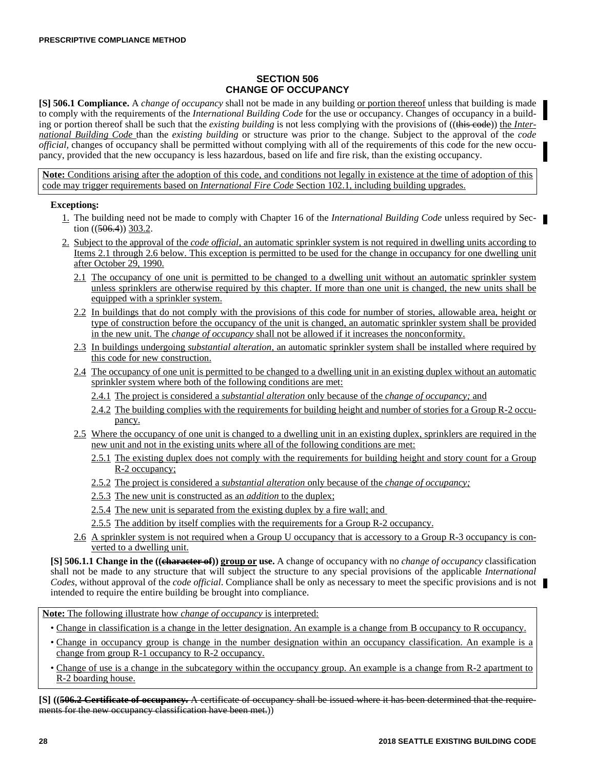## **SECTION 506 CHANGE OF OCCUPANCY**

**[S] 506.1 Compliance.** A *change of occupancy* shall not be made in any building or portion thereof unless that building is made to comply with the requirements of the *International Building Code* for the use or occupancy. Changes of occupancy in a building or portion thereof shall be such that the *existing building* is not less complying with the provisions of ((this code)) the *International Building Code* than the *existing building* or structure was prior to the change. Subject to the approval of the *code official,* changes of occupancy shall be permitted without complying with all of the requirements of this code for the new occupancy, provided that the new occupancy is less hazardous, based on life and fire risk, than the existing occupancy.

**Note:** Conditions arising after the adoption of this code, and conditions not legally in existence at the time of adoption of this code may trigger requirements based on *International Fire Code* Section 102.1, including building upgrades.

## **Exceptions:**

- 1. The building need not be made to comply with Chapter 16 of the *International Building Code* unless required by Section  $((506.4))$  303.2.
- 2. Subject to the approval of the *code official,* an automatic sprinkler system is not required in dwelling units according to Items 2.1 through 2.6 below. This exception is permitted to be used for the change in occupancy for one dwelling unit after October 29, 1990.
	- 2.1 The occupancy of one unit is permitted to be changed to a dwelling unit without an automatic sprinkler system unless sprinklers are otherwise required by this chapter. If more than one unit is changed, the new units shall be equipped with a sprinkler system.
	- 2.2 In buildings that do not comply with the provisions of this code for number of stories, allowable area, height or type of construction before the occupancy of the unit is changed, an automatic sprinkler system shall be provided in the new unit. The *change of occupancy* shall not be allowed if it increases the nonconformity.
	- 2.3 In buildings undergoing *substantial alteration,* an automatic sprinkler system shall be installed where required by this code for new construction.
	- 2.4 The occupancy of one unit is permitted to be changed to a dwelling unit in an existing duplex without an automatic sprinkler system where both of the following conditions are met:
		- 2.4.1 The project is considered a *substantial alteration* only because of the *change of occupancy;* and
		- 2.4.2 The building complies with the requirements for building height and number of stories for a Group R-2 occupancy.
	- 2.5 Where the occupancy of one unit is changed to a dwelling unit in an existing duplex, sprinklers are required in the new unit and not in the existing units where all of the following conditions are met:
		- 2.5.1 The existing duplex does not comply with the requirements for building height and story count for a Group R-2 occupancy;
		- 2.5.2 The project is considered a *substantial alteration* only because of the *change of occupancy;*
		- 2.5.3 The new unit is constructed as an *addition* to the duplex;
		- 2.5.4 The new unit is separated from the existing duplex by a fire wall; and
		- 2.5.5 The addition by itself complies with the requirements for a Group R-2 occupancy.
	- 2.6 A sprinkler system is not required when a Group U occupancy that is accessory to a Group R-3 occupancy is converted to a dwelling unit.

**[S] 506.1.1 Change in the ((character of)) group or use.** A change of occupancy with no *change of occupancy* classification shall not be made to any structure that will subject the structure to any special provisions of the applicable *International Codes*, without approval of the *code official*. Compliance shall be only as necessary to meet the specific provisions and is not intended to require the entire building be brought into compliance.

**Note:** The following illustrate how *change of occupancy* is interpreted:

- Change in classification is a change in the letter designation. An example is a change from B occupancy to R occupancy.
- Change in occupancy group is change in the number designation within an occupancy classification. An example is a change from group R-1 occupancy to R-2 occupancy.
- Change of use is a change in the subcategory within the occupancy group. An example is a change from R-2 apartment to R-2 boarding house.

**[S] ((506.2 Certificate of occupancy.** A certificate of occupancy shall be issued where it has been determined that the requirements for the new occupancy classification have been met.)